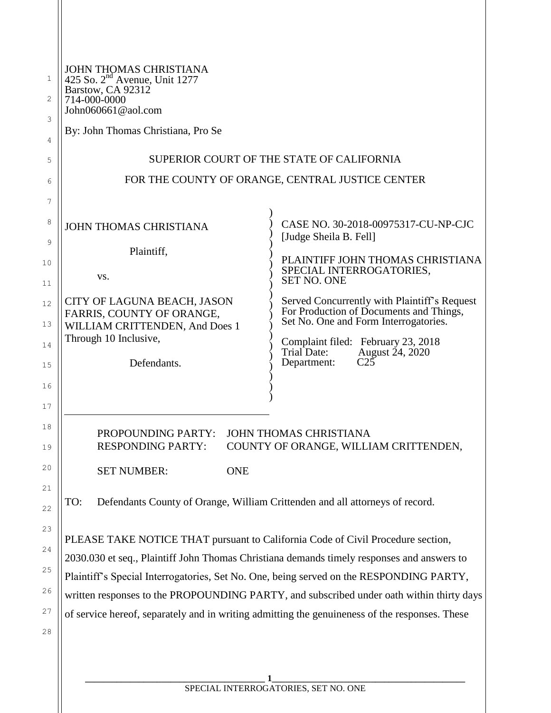| JOHN THOMAS CHRISTIANA<br>425 So. $2nd$ Avenue, Unit 1277<br>Barstow, CA 92312<br>714-000-0000<br>John060661@aol.com<br>By: John Thomas Christiana, Pro Se |                                                                                                                                                                        |
|------------------------------------------------------------------------------------------------------------------------------------------------------------|------------------------------------------------------------------------------------------------------------------------------------------------------------------------|
|                                                                                                                                                            | SUPERIOR COURT OF THE STATE OF CALIFORNIA                                                                                                                              |
| FOR THE COUNTY OF ORANGE, CENTRAL JUSTICE CENTER                                                                                                           |                                                                                                                                                                        |
|                                                                                                                                                            |                                                                                                                                                                        |
| <b>JOHN THOMAS CHRISTIANA</b>                                                                                                                              | CASE NO. 30-2018-00975317-CU-NP-CJC<br>[Judge Sheila B. Fell]                                                                                                          |
| Plaintiff,<br>VS.                                                                                                                                          | PLAINTIFF JOHN THOMAS CHRISTIANA<br>SPECIAL INTERROGATORIES,<br><b>SET NO. ONE</b>                                                                                     |
| CITY OF LAGUNA BEACH, JASON<br>FARRIS, COUNTY OF ORANGE,<br>WILLIAM CRITTENDEN, And Does 1<br>Through 10 Inclusive,                                        | Served Concurrently with Plaintiff's Request<br>For Production of Documents and Things,<br>Set No. One and Form Interrogatories.<br>Complaint filed: February 23, 2018 |
| Defendants.                                                                                                                                                | Trial Date:<br>August 24, 2020<br>$C2\overline{5}$<br>Department:                                                                                                      |
| PROPOUNDING PARTY: JOHN THOMAS CHRISTIANA<br><b>RESPONDING PARTY:</b>                                                                                      | COUNTY OF ORANGE, WILLIAM CRITTENDEN,                                                                                                                                  |
| <b>SET NUMBER:</b><br><b>ONE</b>                                                                                                                           |                                                                                                                                                                        |
| Defendants County of Orange, William Crittenden and all attorneys of record.<br>TO:                                                                        |                                                                                                                                                                        |
| PLEASE TAKE NOTICE THAT pursuant to California Code of Civil Procedure section,                                                                            |                                                                                                                                                                        |
| 2030.030 et seq., Plaintiff John Thomas Christiana demands timely responses and answers to                                                                 |                                                                                                                                                                        |
| Plaintiff's Special Interrogatories, Set No. One, being served on the RESPONDING PARTY,                                                                    | written responses to the PROPOUNDING PARTY, and subscribed under oath within thirty days                                                                               |
| of service hereof, separately and in writing admitting the genuineness of the responses. These                                                             |                                                                                                                                                                        |
|                                                                                                                                                            |                                                                                                                                                                        |
|                                                                                                                                                            |                                                                                                                                                                        |
|                                                                                                                                                            |                                                                                                                                                                        |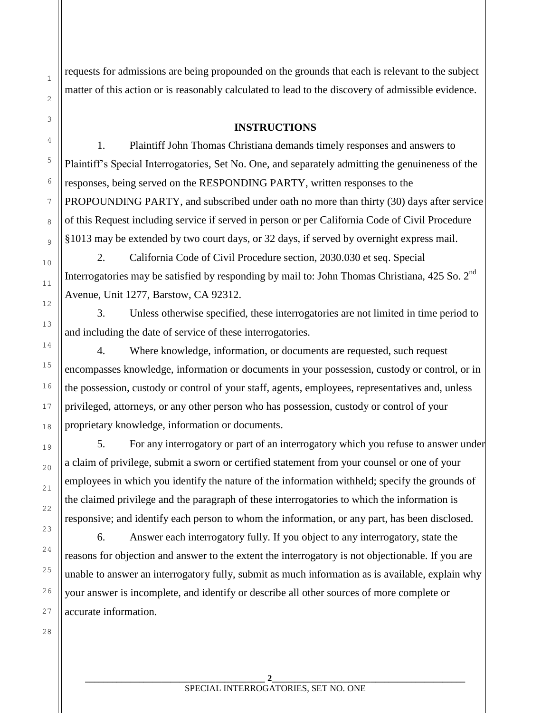requests for admissions are being propounded on the grounds that each is relevant to the subject matter of this action or is reasonably calculated to lead to the discovery of admissible evidence.

#### **INSTRUCTIONS**

1. Plaintiff John Thomas Christiana demands timely responses and answers to Plaintiff's Special Interrogatories, Set No. One, and separately admitting the genuineness of the responses, being served on the RESPONDING PARTY, written responses to the PROPOUNDING PARTY, and subscribed under oath no more than thirty (30) days after service of this Request including service if served in person or per California Code of Civil Procedure §1013 may be extended by two court days, or 32 days, if served by overnight express mail.

2. California Code of Civil Procedure section, 2030.030 et seq. Special Interrogatories may be satisfied by responding by mail to: John Thomas Christiana,  $425$  So.  $2<sup>nd</sup>$ Avenue, Unit 1277, Barstow, CA 92312.

3. Unless otherwise specified, these interrogatories are not limited in time period to and including the date of service of these interrogatories.

4. Where knowledge, information, or documents are requested, such request encompasses knowledge, information or documents in your possession, custody or control, or in the possession, custody or control of your staff, agents, employees, representatives and, unless privileged, attorneys, or any other person who has possession, custody or control of your proprietary knowledge, information or documents.

5. For any interrogatory or part of an interrogatory which you refuse to answer under a claim of privilege, submit a sworn or certified statement from your counsel or one of your employees in which you identify the nature of the information withheld; specify the grounds of the claimed privilege and the paragraph of these interrogatories to which the information is responsive; and identify each person to whom the information, or any part, has been disclosed.

6. Answer each interrogatory fully. If you object to any interrogatory, state the reasons for objection and answer to the extent the interrogatory is not objectionable. If you are unable to answer an interrogatory fully, submit as much information as is available, explain why your answer is incomplete, and identify or describe all other sources of more complete or accurate information.

28

1

2

3

4

5

6

7

8

9

10

11

12

13

14

15

16

17

18

19

20

21

22

23

24

25

26

27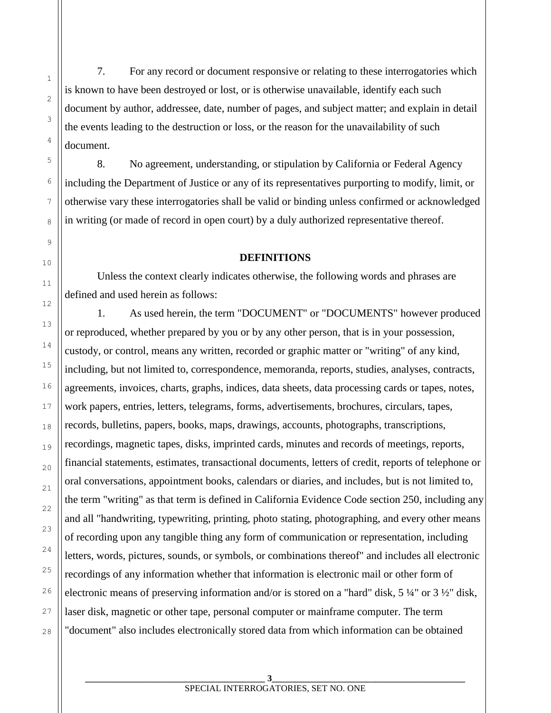7. For any record or document responsive or relating to these interrogatories which is known to have been destroyed or lost, or is otherwise unavailable, identify each such document by author, addressee, date, number of pages, and subject matter; and explain in detail the events leading to the destruction or loss, or the reason for the unavailability of such document.

1

2

3

4

5

6

7

8

9

10

11

12

13

14

15

16

17

18

19

20

21

22

23

24

25

26

27

28

8. No agreement, understanding, or stipulation by California or Federal Agency including the Department of Justice or any of its representatives purporting to modify, limit, or otherwise vary these interrogatories shall be valid or binding unless confirmed or acknowledged in writing (or made of record in open court) by a duly authorized representative thereof.

#### **DEFINITIONS**

Unless the context clearly indicates otherwise, the following words and phrases are defined and used herein as follows:

1. As used herein, the term "DOCUMENT" or "DOCUMENTS" however produced or reproduced, whether prepared by you or by any other person, that is in your possession, custody, or control, means any written, recorded or graphic matter or "writing" of any kind, including, but not limited to, correspondence, memoranda, reports, studies, analyses, contracts, agreements, invoices, charts, graphs, indices, data sheets, data processing cards or tapes, notes, work papers, entries, letters, telegrams, forms, advertisements, brochures, circulars, tapes, records, bulletins, papers, books, maps, drawings, accounts, photographs, transcriptions, recordings, magnetic tapes, disks, imprinted cards, minutes and records of meetings, reports, financial statements, estimates, transactional documents, letters of credit, reports of telephone or oral conversations, appointment books, calendars or diaries, and includes, but is not limited to, the term "writing" as that term is defined in California Evidence Code section 250, including any and all "handwriting, typewriting, printing, photo stating, photographing, and every other means of recording upon any tangible thing any form of communication or representation, including letters, words, pictures, sounds, or symbols, or combinations thereof" and includes all electronic recordings of any information whether that information is electronic mail or other form of electronic means of preserving information and/or is stored on a "hard" disk, 5 ¼" or 3 ½" disk, laser disk, magnetic or other tape, personal computer or mainframe computer. The term "document" also includes electronically stored data from which information can be obtained

**\_\_\_\_\_\_\_\_\_\_\_\_\_\_\_\_\_\_\_\_\_\_\_\_\_\_\_\_\_\_\_\_\_\_\_\_\_\_\_\_ 3\_\_\_\_\_\_\_\_\_\_\_\_\_\_\_\_\_\_\_\_\_\_\_\_\_\_\_\_\_\_\_\_\_\_\_\_\_\_\_\_\_\_\_**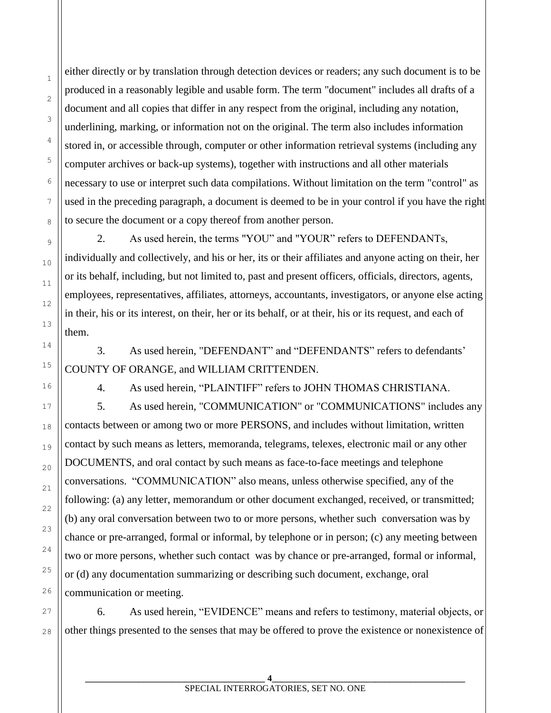either directly or by translation through detection devices or readers; any such document is to be produced in a reasonably legible and usable form. The term "document" includes all drafts of a document and all copies that differ in any respect from the original, including any notation, underlining, marking, or information not on the original. The term also includes information stored in, or accessible through, computer or other information retrieval systems (including any computer archives or back-up systems), together with instructions and all other materials necessary to use or interpret such data compilations. Without limitation on the term "control" as used in the preceding paragraph, a document is deemed to be in your control if you have the right to secure the document or a copy thereof from another person.

2. As used herein, the terms "YOU" and "YOUR" refers to DEFENDANTs, individually and collectively, and his or her, its or their affiliates and anyone acting on their, her or its behalf, including, but not limited to, past and present officers, officials, directors, agents, employees, representatives, affiliates, attorneys, accountants, investigators, or anyone else acting in their, his or its interest, on their, her or its behalf, or at their, his or its request, and each of them.

3. As used herein, "DEFENDANT" and "DEFENDANTS" refers to defendants' COUNTY OF ORANGE, and WILLIAM CRITTENDEN.

1

2

3

4

5

6

7

8

9

10

11

12

13

14

15

16

17

18

19

20

21

22

23

24

4. As used herein, "PLAINTIFF" refers to JOHN THOMAS CHRISTIANA.

5. As used herein, "COMMUNICATION" or "COMMUNICATIONS" includes any contacts between or among two or more PERSONS, and includes without limitation, written contact by such means as letters, memoranda, telegrams, telexes, electronic mail or any other DOCUMENTS, and oral contact by such means as face-to-face meetings and telephone conversations. "COMMUNICATION" also means, unless otherwise specified, any of the following: (a) any letter, memorandum or other document exchanged, received, or transmitted; (b) any oral conversation between two to or more persons, whether such conversation was by chance or pre-arranged, formal or informal, by telephone or in person; (c) any meeting between two or more persons, whether such contact was by chance or pre-arranged, formal or informal, or (d) any documentation summarizing or describing such document, exchange, oral communication or meeting.

6. As used herein, "EVIDENCE" means and refers to testimony, material objects, or other things presented to the senses that may be offered to prove the existence or nonexistence of

**\_\_\_\_\_\_\_\_\_\_\_\_\_\_\_\_\_\_\_\_\_\_\_\_\_\_\_\_\_\_\_\_\_\_\_\_\_\_\_\_ 4\_\_\_\_\_\_\_\_\_\_\_\_\_\_\_\_\_\_\_\_\_\_\_\_\_\_\_\_\_\_\_\_\_\_\_\_\_\_\_\_\_\_\_** SPECIAL INTERROGATORIES, SET NO. ONE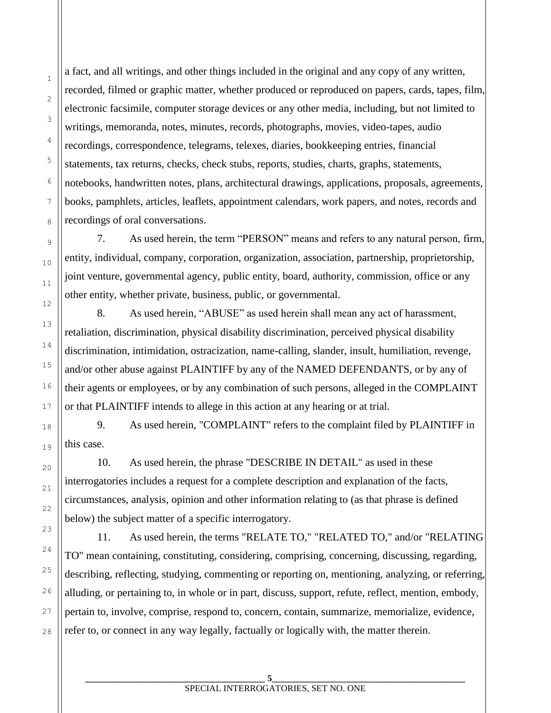a fact, and all writings, and other things included in the original and any copy of any written, recorded, filmed or graphic matter, whether produced or reproduced on papers, cards, tapes, film, electronic facsimile, computer storage devices or any other media, including, but not limited to writings, memoranda, notes, minutes, records, photographs, movies, video-tapes, audio recordings, correspondence, telegrams, telexes, diaries, bookkeeping entries, financial statements, tax returns, checks, check stubs, reports, studies, charts, graphs, statements, notebooks, handwritten notes, plans, architectural drawings, applications, proposals, agreements, books, pamphlets, articles, leaflets, appointment calendars, work papers, and notes, records and recordings of oral conversations.

1

2

3

4

5

6

7

8

9

10

11

12

13

14

15

16

17

18

19

20

21

22

23

24

25

26

27

28

7. As used herein, the term "PERSON" means and refers to any natural person, firm, entity, individual, company, corporation, organization, association, partnership, proprietorship, joint venture, governmental agency, public entity, board, authority, commission, office or any other entity, whether private, business, public, or governmental.

8. As used herein, "ABUSE" as used herein shall mean any act of harassment, retaliation, discrimination, physical disability discrimination, perceived physical disability discrimination, intimidation, ostracization, name-calling, slander, insult, humiliation, revenge, and/or other abuse against PLAINTIFF by any of the NAMED DEFENDANTS, or by any of their agents or employees, or by any combination of such persons, alleged in the COMPLAINT or that PLAINTIFF intends to allege in this action at any hearing or at trial.

9. As used herein, "COMPLAINT" refers to the complaint filed by PLAINTIFF in this case.

10. As used herein, the phrase "DESCRIBE IN DETAIL" as used in these interrogatories includes a request for a complete description and explanation of the facts, circumstances, analysis, opinion and other information relating to (as that phrase is defined below) the subject matter of a specific interrogatory.

11. As used herein, the terms "RELATE TO," "RELATED TO," and/or "RELATING TO" mean containing, constituting, considering, comprising, concerning, discussing, regarding, describing, reflecting, studying, commenting or reporting on, mentioning, analyzing, or referring, alluding, or pertaining to, in whole or in part, discuss, support, refute, reflect, mention, embody, pertain to, involve, comprise, respond to, concern, contain, summarize, memorialize, evidence, refer to, or connect in any way legally, factually or logically with, the matter therein.

**\_\_\_\_\_\_\_\_\_\_\_\_\_\_\_\_\_\_\_\_\_\_\_\_\_\_\_\_\_\_\_\_\_\_\_\_\_\_\_\_ 5\_\_\_\_\_\_\_\_\_\_\_\_\_\_\_\_\_\_\_\_\_\_\_\_\_\_\_\_\_\_\_\_\_\_\_\_\_\_\_\_\_\_\_**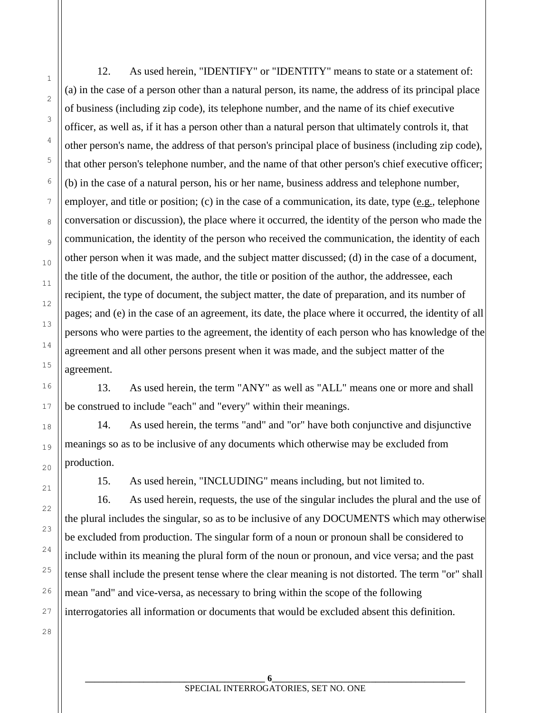12. As used herein, "IDENTIFY" or "IDENTITY" means to state or a statement of: (a) in the case of a person other than a natural person, its name, the address of its principal place of business (including zip code), its telephone number, and the name of its chief executive officer, as well as, if it has a person other than a natural person that ultimately controls it, that other person's name, the address of that person's principal place of business (including zip code), that other person's telephone number, and the name of that other person's chief executive officer; (b) in the case of a natural person, his or her name, business address and telephone number, employer, and title or position; (c) in the case of a communication, its date, type  $(e.g., telephone)$ conversation or discussion), the place where it occurred, the identity of the person who made the communication, the identity of the person who received the communication, the identity of each other person when it was made, and the subject matter discussed; (d) in the case of a document, the title of the document, the author, the title or position of the author, the addressee, each recipient, the type of document, the subject matter, the date of preparation, and its number of pages; and (e) in the case of an agreement, its date, the place where it occurred, the identity of all persons who were parties to the agreement, the identity of each person who has knowledge of the agreement and all other persons present when it was made, and the subject matter of the agreement.

13. As used herein, the term "ANY" as well as "ALL" means one or more and shall be construed to include "each" and "every" within their meanings.

14. As used herein, the terms "and" and "or" have both conjunctive and disjunctive meanings so as to be inclusive of any documents which otherwise may be excluded from production.

15. As used herein, "INCLUDING" means including, but not limited to.

16. As used herein, requests, the use of the singular includes the plural and the use of the plural includes the singular, so as to be inclusive of any DOCUMENTS which may otherwise be excluded from production. The singular form of a noun or pronoun shall be considered to include within its meaning the plural form of the noun or pronoun, and vice versa; and the past tense shall include the present tense where the clear meaning is not distorted. The term "or" shall mean "and" and vice-versa, as necessary to bring within the scope of the following interrogatories all information or documents that would be excluded absent this definition.

27

28

1

2

3

4

5

6

7

8

9

10

11

12

13

14

15

16

17

18

19

20

21

22

23

24

25

26

**\_\_\_\_\_\_\_\_\_\_\_\_\_\_\_\_\_\_\_\_\_\_\_\_\_\_\_\_\_\_\_\_\_\_\_\_\_\_\_\_ 6\_\_\_\_\_\_\_\_\_\_\_\_\_\_\_\_\_\_\_\_\_\_\_\_\_\_\_\_\_\_\_\_\_\_\_\_\_\_\_\_\_\_\_** SPECIAL INTERROGATORIES, SET NO. ONE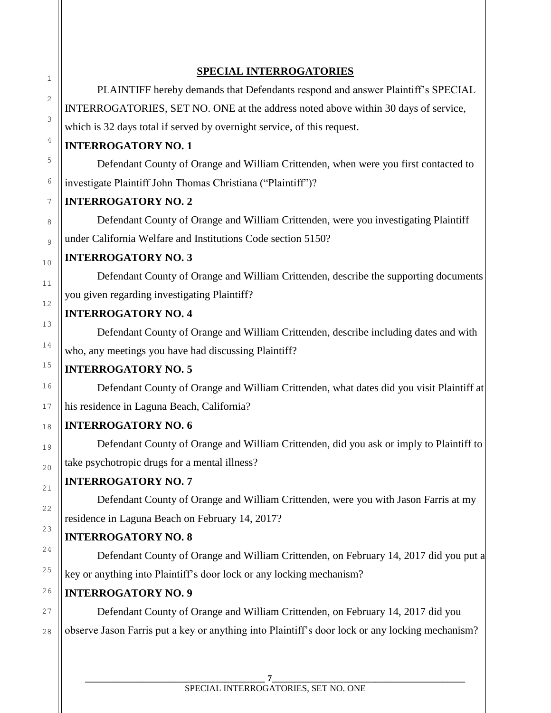#### **SPECIAL INTERROGATORIES**

PLAINTIFF hereby demands that Defendants respond and answer Plaintiff's SPECIAL INTERROGATORIES, SET NO. ONE at the address noted above within 30 days of service, which is 32 days total if served by overnight service, of this request.

# **INTERROGATORY NO. 1**

Defendant County of Orange and William Crittenden, when were you first contacted to investigate Plaintiff John Thomas Christiana ("Plaintiff")?

# **INTERROGATORY NO. 2**

Defendant County of Orange and William Crittenden, were you investigating Plaintiff under California Welfare and Institutions Code section 5150?

### **INTERROGATORY NO. 3**

Defendant County of Orange and William Crittenden, describe the supporting documents you given regarding investigating Plaintiff?

### **INTERROGATORY NO. 4**

Defendant County of Orange and William Crittenden, describe including dates and with who, any meetings you have had discussing Plaintiff?

# **INTERROGATORY NO. 5**

Defendant County of Orange and William Crittenden, what dates did you visit Plaintiff at his residence in Laguna Beach, California?

# **INTERROGATORY NO. 6**

Defendant County of Orange and William Crittenden, did you ask or imply to Plaintiff to take psychotropic drugs for a mental illness?

# **INTERROGATORY NO. 7**

Defendant County of Orange and William Crittenden, were you with Jason Farris at my residence in Laguna Beach on February 14, 2017?

# **INTERROGATORY NO. 8**

Defendant County of Orange and William Crittenden, on February 14, 2017 did you put a key or anything into Plaintiff's door lock or any locking mechanism?

# **INTERROGATORY NO. 9**

Defendant County of Orange and William Crittenden, on February 14, 2017 did you observe Jason Farris put a key or anything into Plaintiff's door lock or any locking mechanism?

1

2

3

4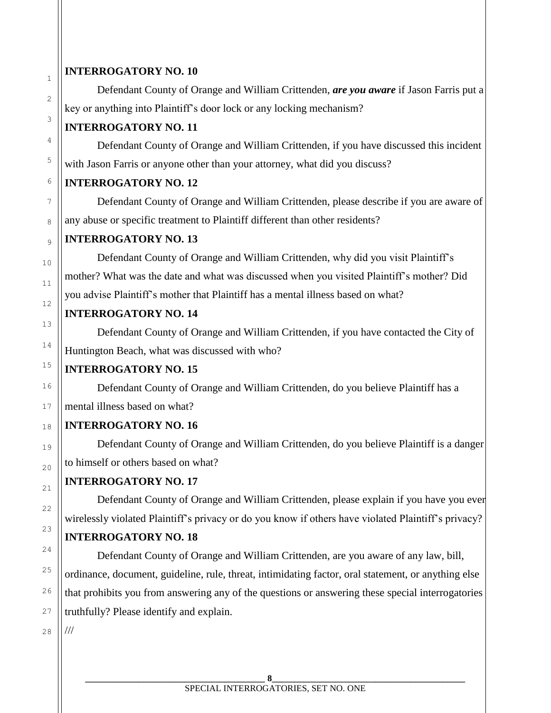#### **INTERROGATORY NO. 10**

1

2

3

4

5

6

7

8

9

10

11

12

13

14

15

16

17

18

19

20

21

22

23

24

25

26

27

Defendant County of Orange and William Crittenden, *are you aware* if Jason Farris put a key or anything into Plaintiff's door lock or any locking mechanism?

#### **INTERROGATORY NO. 11**

Defendant County of Orange and William Crittenden, if you have discussed this incident with Jason Farris or anyone other than your attorney, what did you discuss?

### **INTERROGATORY NO. 12**

Defendant County of Orange and William Crittenden, please describe if you are aware of any abuse or specific treatment to Plaintiff different than other residents?

#### **INTERROGATORY NO. 13**

Defendant County of Orange and William Crittenden, why did you visit Plaintiff's mother? What was the date and what was discussed when you visited Plaintiff's mother? Did you advise Plaintiff's mother that Plaintiff has a mental illness based on what?

# **INTERROGATORY NO. 14**

Defendant County of Orange and William Crittenden, if you have contacted the City of Huntington Beach, what was discussed with who?

# **INTERROGATORY NO. 15**

Defendant County of Orange and William Crittenden, do you believe Plaintiff has a mental illness based on what?

# **INTERROGATORY NO. 16**

Defendant County of Orange and William Crittenden, do you believe Plaintiff is a danger to himself or others based on what?

# **INTERROGATORY NO. 17**

Defendant County of Orange and William Crittenden, please explain if you have you ever wirelessly violated Plaintiff's privacy or do you know if others have violated Plaintiff's privacy?

# **INTERROGATORY NO. 18**

Defendant County of Orange and William Crittenden, are you aware of any law, bill, ordinance, document, guideline, rule, threat, intimidating factor, oral statement, or anything else that prohibits you from answering any of the questions or answering these special interrogatories truthfully? Please identify and explain.

28 ///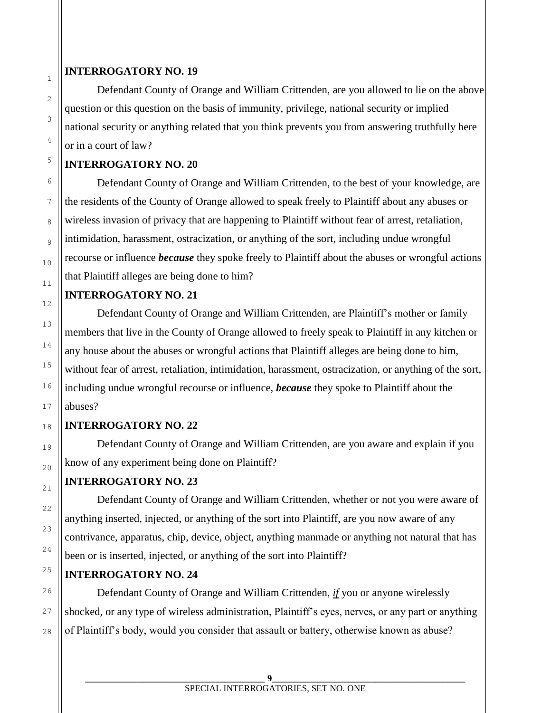#### **INTERROGATORY NO. 19**

Defendant County of Orange and William Crittenden, are you allowed to lie on the above question or this question on the basis of immunity, privilege, national security or implied national security or anything related that you think prevents you from answering truthfully here or in a court of law?

#### **INTERROGATORY NO. 20**

Defendant County of Orange and William Crittenden, to the best of your knowledge, are the residents of the County of Orange allowed to speak freely to Plaintiff about any abuses or wireless invasion of privacy that are happening to Plaintiff without fear of arrest, retaliation, intimidation, harassment, ostracization, or anything of the sort, including undue wrongful recourse or influence *because* they spoke freely to Plaintiff about the abuses or wrongful actions that Plaintiff alleges are being done to him?

#### **INTERROGATORY NO. 21**

Defendant County of Orange and William Crittenden, are Plaintiff's mother or family members that live in the County of Orange allowed to freely speak to Plaintiff in any kitchen or any house about the abuses or wrongful actions that Plaintiff alleges are being done to him, without fear of arrest, retaliation, intimidation, harassment, ostracization, or anything of the sort, including undue wrongful recourse or influence, *because* they spoke to Plaintiff about the abuses?

#### **INTERROGATORY NO. 22**

Defendant County of Orange and William Crittenden, are you aware and explain if you know of any experiment being done on Plaintiff?

#### **INTERROGATORY NO. 23**

Defendant County of Orange and William Crittenden, whether or not you were aware of anything inserted, injected, or anything of the sort into Plaintiff, are you now aware of any contrivance, apparatus, chip, device, object, anything manmade or anything not natural that has been or is inserted, injected, or anything of the sort into Plaintiff?

# **INTERROGATORY NO. 24**

Defendant County of Orange and William Crittenden, *if* you or anyone wirelessly shocked, or any type of wireless administration, Plaintiff's eyes, nerves, or any part or anything of Plaintiff's body, would you consider that assault or battery, otherwise known as abuse?

28